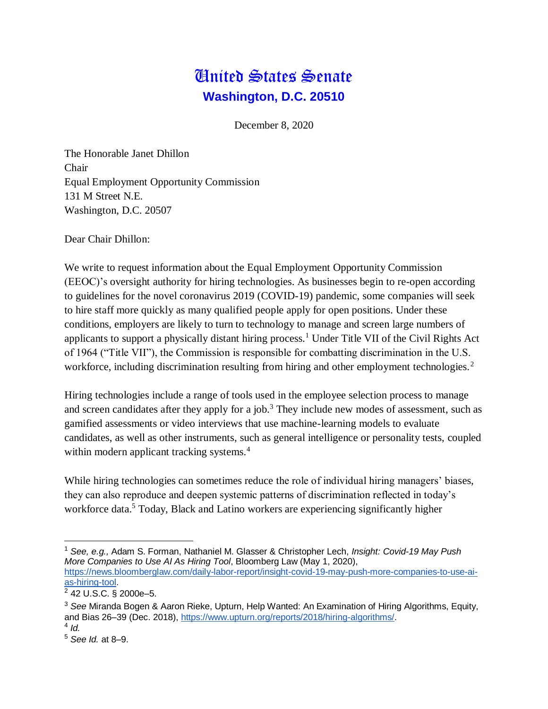## United States Senate **Washington, D.C. 20510**

December 8, 2020

The Honorable Janet Dhillon Chair Equal Employment Opportunity Commission 131 M Street N.E. Washington, D.C. 20507

Dear Chair Dhillon:

We write to request information about the Equal Employment Opportunity Commission (EEOC)'s oversight authority for hiring technologies. As businesses begin to re-open according to guidelines for the novel coronavirus 2019 (COVID-19) pandemic, some companies will seek to hire staff more quickly as many qualified people apply for open positions. Under these conditions, employers are likely to turn to technology to manage and screen large numbers of applicants to support a physically distant hiring process.<sup>1</sup> Under Title VII of the Civil Rights Act of 1964 ("Title VII"), the Commission is responsible for combatting discrimination in the U.S. workforce, including discrimination resulting from hiring and other employment technologies.<sup>2</sup>

Hiring technologies include a range of tools used in the employee selection process to manage and screen candidates after they apply for a job.<sup>3</sup> They include new modes of assessment, such as gamified assessments or video interviews that use machine-learning models to evaluate candidates, as well as other instruments, such as general intelligence or personality tests, coupled within modern applicant tracking systems.<sup>4</sup>

While hiring technologies can sometimes reduce the role of individual hiring managers' biases, they can also reproduce and deepen systemic patterns of discrimination reflected in today's workforce data.<sup>5</sup> Today, Black and Latino workers are experiencing significantly higher

 $\overline{a}$ 

<sup>1</sup> *See, e.g.,* Adam S. Forman, Nathaniel M. Glasser & Christopher Lech, *Insight: Covid-19 May Push More Companies to Use AI As Hiring Tool*, Bloomberg Law (May 1, 2020), [https://news.bloomberglaw.com/daily-labor-report/insight-covid-19-may-push-more-companies-to-use-ai](https://news.bloomberglaw.com/daily-labor-report/insight-covid-19-may-push-more-companies-to-use-ai-as-hiring-tool)[as-hiring-tool.](https://news.bloomberglaw.com/daily-labor-report/insight-covid-19-may-push-more-companies-to-use-ai-as-hiring-tool)

<sup>2</sup> 42 U.S.C. § 2000e–5.

<sup>3</sup> *See* Miranda Bogen & Aaron Rieke, Upturn, Help Wanted: An Examination of Hiring Algorithms, Equity, and Bias 26–39 (Dec. 2018), [https://www.upturn.org/reports/2018/hiring-algorithms/.](https://www.upturn.org/reports/2018/hiring-algorithms/)

<sup>4</sup> *Id.*

<sup>5</sup> *See Id.* at 8–9.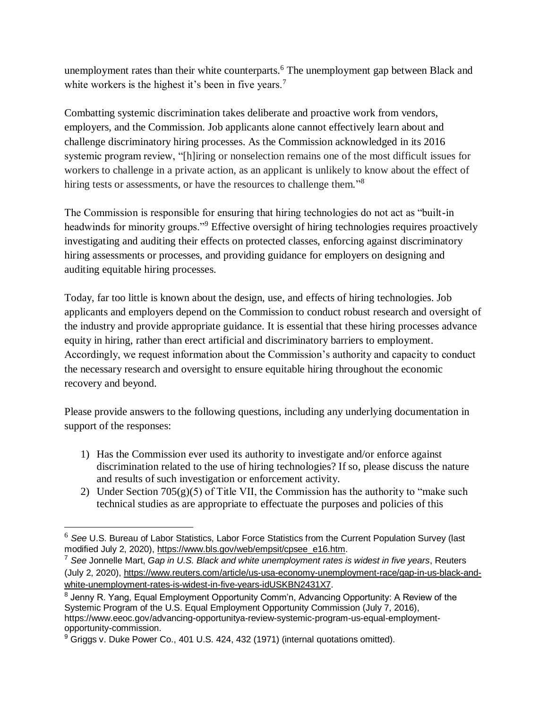unemployment rates than their white counterparts.<sup>6</sup> The unemployment gap between Black and white workers is the highest it's been in five years.<sup>7</sup>

Combatting systemic discrimination takes deliberate and proactive work from vendors, employers, and the Commission. Job applicants alone cannot effectively learn about and challenge discriminatory hiring processes. As the Commission acknowledged in its 2016 systemic program review, "[h]iring or nonselection remains one of the most difficult issues for workers to challenge in a private action, as an applicant is unlikely to know about the effect of hiring tests or assessments, or have the resources to challenge them."<sup>8</sup>

The Commission is responsible for ensuring that hiring technologies do not act as "built-in headwinds for minority groups."<sup>9</sup> Effective oversight of hiring technologies requires proactively investigating and auditing their effects on protected classes, enforcing against discriminatory hiring assessments or processes, and providing guidance for employers on designing and auditing equitable hiring processes.

Today, far too little is known about the design, use, and effects of hiring technologies. Job applicants and employers depend on the Commission to conduct robust research and oversight of the industry and provide appropriate guidance. It is essential that these hiring processes advance equity in hiring, rather than erect artificial and discriminatory barriers to employment. Accordingly, we request information about the Commission's authority and capacity to conduct the necessary research and oversight to ensure equitable hiring throughout the economic recovery and beyond.

Please provide answers to the following questions, including any underlying documentation in support of the responses:

- 1) Has the Commission ever used its authority to investigate and/or enforce against discrimination related to the use of hiring technologies? If so, please discuss the nature and results of such investigation or enforcement activity.
- 2) Under Section  $705(g)(5)$  of Title VII, the Commission has the authority to "make such technical studies as are appropriate to effectuate the purposes and policies of this

<sup>6</sup> *See* U.S. Bureau of Labor Statistics, Labor Force Statistics from the Current Population Survey (last modified July 2, 2020), [https://www.bls.gov/web/empsit/cpsee\\_e16.htm.](https://www.bls.gov/web/empsit/cpsee_e16.htm)

<sup>7</sup> *See* Jonnelle Mart, *Gap in U.S. Black and white unemployment rates is widest in five years*, Reuters (July 2, 2020), [https://www.reuters.com/article/us-usa-economy-unemployment-race/gap-in-us-black-and](https://www.reuters.com/article/us-usa-economy-unemployment-race/gap-in-us-black-and-white-unemployment-rates-is-widest-in-five-years-idUSKBN2431X7)[white-unemployment-rates-is-widest-in-five-years-idUSKBN2431X7.](https://www.reuters.com/article/us-usa-economy-unemployment-race/gap-in-us-black-and-white-unemployment-rates-is-widest-in-five-years-idUSKBN2431X7)

<sup>&</sup>lt;sup>8</sup> Jenny R. Yang, Equal Employment Opportunity Comm'n, Advancing Opportunity: A Review of the Systemic Program of the U.S. Equal Employment Opportunity Commission (July 7, 2016), https://www.eeoc.gov/advancing-opportunitya-review-systemic-program-us-equal-employmentopportunity-commission.

 $9$  Griggs v. Duke Power Co., 401 U.S. 424, 432 (1971) (internal quotations omitted).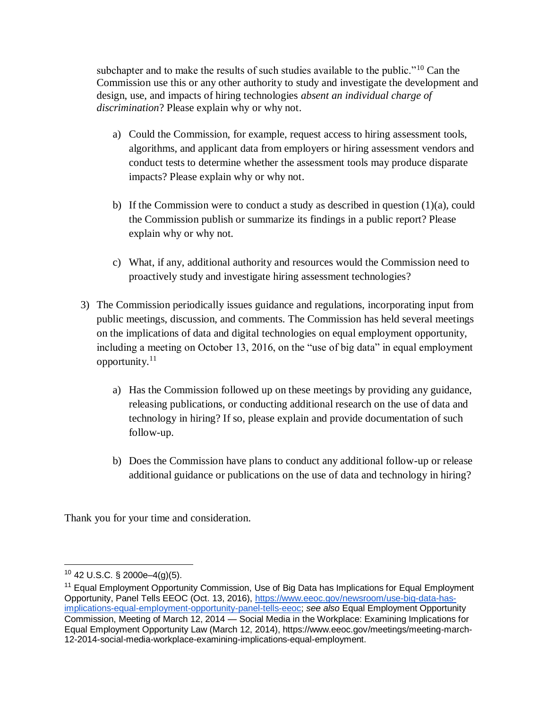subchapter and to make the results of such studies available to the public."<sup>10</sup> Can the Commission use this or any other authority to study and investigate the development and design, use, and impacts of hiring technologies *absent an individual charge of discrimination*? Please explain why or why not.

- a) Could the Commission, for example, request access to hiring assessment tools, algorithms, and applicant data from employers or hiring assessment vendors and conduct tests to determine whether the assessment tools may produce disparate impacts? Please explain why or why not.
- b) If the Commission were to conduct a study as described in question (1)(a), could the Commission publish or summarize its findings in a public report? Please explain why or why not.
- c) What, if any, additional authority and resources would the Commission need to proactively study and investigate hiring assessment technologies?
- 3) The Commission periodically issues guidance and regulations, incorporating input from public meetings, discussion, and comments. The Commission has held several meetings on the implications of data and digital technologies on equal employment opportunity, including a meeting on October 13, 2016, on the "use of big data" in equal employment opportunity. $11$ 
	- a) Has the Commission followed up on these meetings by providing any guidance, releasing publications, or conducting additional research on the use of data and technology in hiring? If so, please explain and provide documentation of such follow-up.
	- b) Does the Commission have plans to conduct any additional follow-up or release additional guidance or publications on the use of data and technology in hiring?

Thank you for your time and consideration.

<sup>10</sup> 42 U.S.C. § 2000e–4(g)(5).

<sup>&</sup>lt;sup>11</sup> Equal Employment Opportunity Commission, Use of Big Data has Implications for Equal Employment Opportunity, Panel Tells EEOC (Oct. 13, 2016), [https://www.eeoc.gov/newsroom/use-big-data-has](https://www.eeoc.gov/newsroom/use-big-data-has-implications-equal-employment-opportunity-panel-tells-eeoc)[implications-equal-employment-opportunity-panel-tells-eeoc;](https://www.eeoc.gov/newsroom/use-big-data-has-implications-equal-employment-opportunity-panel-tells-eeoc) *see also* Equal Employment Opportunity Commission, Meeting of March 12, 2014 — Social Media in the Workplace: Examining Implications for Equal Employment Opportunity Law (March 12, 2014), https://www.eeoc.gov/meetings/meeting-march-12-2014-social-media-workplace-examining-implications-equal-employment.